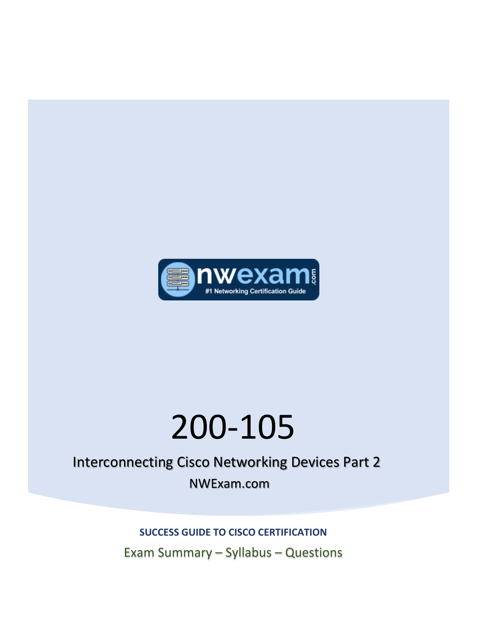

# 200-105

## Interconnecting Cisco Networking Devices Part 2 NWExam.com

Exam Summary – Syllabus – Questions **SUCCESS GUIDE TO CISCO CERTIFICATION**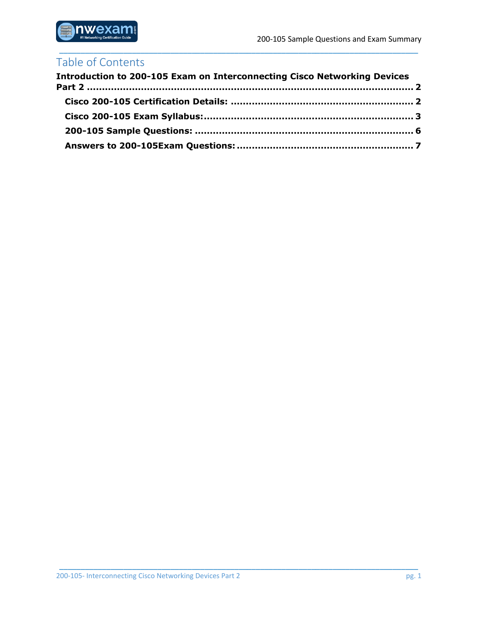

## Table of Contents

| <b>Introduction to 200-105 Exam on Interconnecting Cisco Networking Devices</b> |  |
|---------------------------------------------------------------------------------|--|
|                                                                                 |  |
|                                                                                 |  |
|                                                                                 |  |
|                                                                                 |  |

\_\_\_\_\_\_\_\_\_\_\_\_\_\_\_\_\_\_\_\_\_\_\_\_\_\_\_\_\_\_\_\_\_\_\_\_\_\_\_\_\_\_\_\_\_\_\_\_\_\_\_\_\_\_\_\_\_\_\_\_\_\_\_\_\_\_\_\_\_\_\_\_\_\_\_\_\_\_\_\_\_\_\_\_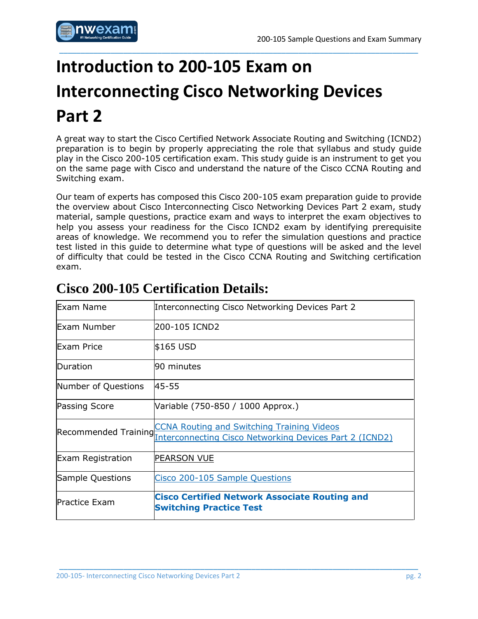

## <span id="page-2-0"></span>**Introduction to 200-105 Exam on Interconnecting Cisco Networking Devices Part 2**

A great way to start the Cisco Certified Network Associate Routing and Switching (ICND2) preparation is to begin by properly appreciating the role that syllabus and study guide play in the Cisco 200-105 certification exam. This study guide is an instrument to get you on the same page with Cisco and understand the nature of the Cisco CCNA Routing and Switching exam.

\_\_\_\_\_\_\_\_\_\_\_\_\_\_\_\_\_\_\_\_\_\_\_\_\_\_\_\_\_\_\_\_\_\_\_\_\_\_\_\_\_\_\_\_\_\_\_\_\_\_\_\_\_\_\_\_\_\_\_\_\_\_\_\_\_\_\_\_\_\_\_\_\_\_\_\_\_\_\_\_\_\_\_\_

Our team of experts has composed this Cisco 200-105 exam preparation guide to provide the overview about Cisco Interconnecting Cisco Networking Devices Part 2 exam, study material, sample questions, practice exam and ways to interpret the exam objectives to help you assess your readiness for the Cisco ICND2 exam by identifying prerequisite areas of knowledge. We recommend you to refer the simulation questions and practice test listed in this guide to determine what type of questions will be asked and the level of difficulty that could be tested in the Cisco CCNA Routing and Switching certification exam.

| Exam Name                    | Interconnecting Cisco Networking Devices Part 2                                                              |  |  |  |  |
|------------------------------|--------------------------------------------------------------------------------------------------------------|--|--|--|--|
| Exam Number                  | 200-105 ICND2                                                                                                |  |  |  |  |
| Exam Price                   | \$165 USD                                                                                                    |  |  |  |  |
| Duration                     | 90 minutes                                                                                                   |  |  |  |  |
| 45-55<br>Number of Questions |                                                                                                              |  |  |  |  |
| <b>Passing Score</b>         | Variable (750-850 / 1000 Approx.)                                                                            |  |  |  |  |
| Recommended Training         | <b>CCNA Routing and Switching Training Videos</b><br>Interconnecting Cisco Networking Devices Part 2 (ICND2) |  |  |  |  |
| <b>Exam Registration</b>     | PEARSON VUE                                                                                                  |  |  |  |  |
| Sample Questions             | Cisco 200-105 Sample Questions                                                                               |  |  |  |  |
| <b>Practice Exam</b>         | <b>Cisco Certified Network Associate Routing and</b><br><b>Switching Practice Test</b>                       |  |  |  |  |

\_\_\_\_\_\_\_\_\_\_\_\_\_\_\_\_\_\_\_\_\_\_\_\_\_\_\_\_\_\_\_\_\_\_\_\_\_\_\_\_\_\_\_\_\_\_\_\_\_\_\_\_\_\_\_\_\_\_\_\_\_\_\_\_\_\_\_\_\_\_\_\_\_\_\_\_\_\_\_\_\_\_\_\_

## <span id="page-2-1"></span>**Cisco 200-105 Certification Details:**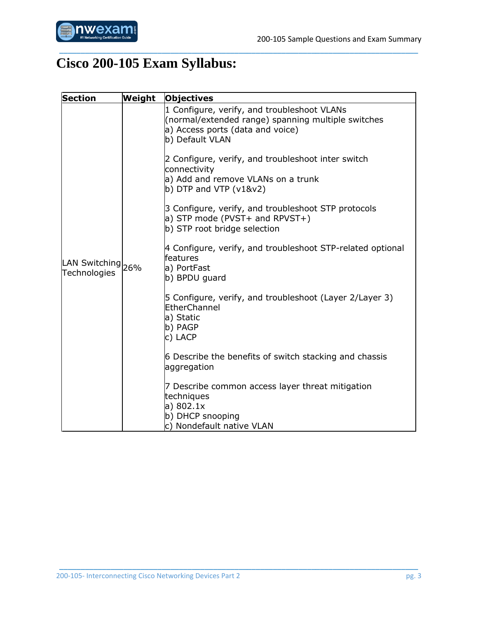

## <span id="page-3-0"></span>**Cisco 200-105 Exam Syllabus:**

| <b>Section</b>                    | Weight | <b>Objectives</b>                                                                                                                                        |  |  |
|-----------------------------------|--------|----------------------------------------------------------------------------------------------------------------------------------------------------------|--|--|
| LAN Switching 26%<br>Technologies |        | 1 Configure, verify, and troubleshoot VLANs<br>(normal/extended range) spanning multiple switches<br>a) Access ports (data and voice)<br>b) Default VLAN |  |  |
|                                   |        | 2 Configure, verify, and troubleshoot inter switch<br>connectivity<br>a) Add and remove VLANs on a trunk<br>$\vert$ b) DTP and VTP (v1&v2)               |  |  |
|                                   |        | 3 Configure, verify, and troubleshoot STP protocols<br>a) STP mode (PVST+ and RPVST+)<br>b) STP root bridge selection                                    |  |  |
|                                   |        | 4 Configure, verify, and troubleshoot STP-related optional<br>features<br>a) PortFast<br>b) BPDU guard                                                   |  |  |
|                                   |        | 5 Configure, verify, and troubleshoot (Layer 2/Layer 3)<br>EtherChannel<br>a) Static<br>b) PAGP<br>c) LACP                                               |  |  |
|                                   |        | 6 Describe the benefits of switch stacking and chassis<br>aggregation                                                                                    |  |  |
|                                   |        | 7 Describe common access layer threat mitigation<br>techniques<br>a) 802.1x<br>b) DHCP snooping                                                          |  |  |
|                                   |        | c) Nondefault native VLAN                                                                                                                                |  |  |

\_\_\_\_\_\_\_\_\_\_\_\_\_\_\_\_\_\_\_\_\_\_\_\_\_\_\_\_\_\_\_\_\_\_\_\_\_\_\_\_\_\_\_\_\_\_\_\_\_\_\_\_\_\_\_\_\_\_\_\_\_\_\_\_\_\_\_\_\_\_\_\_\_\_\_\_\_\_\_\_\_\_\_\_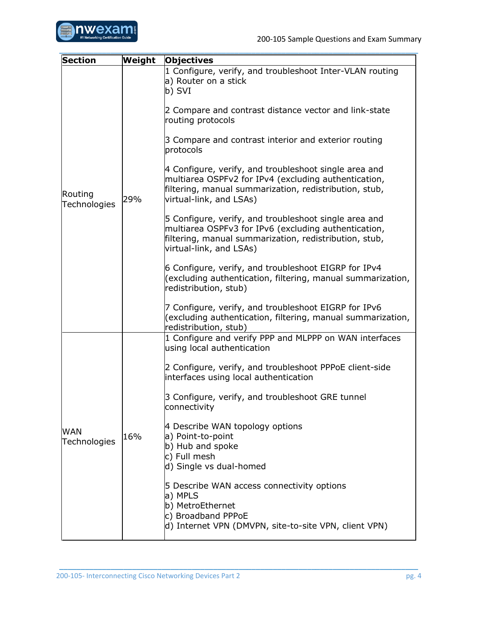

| <b>Section</b>             | Weight | Objectives                                                                                                                                                                                         |
|----------------------------|--------|----------------------------------------------------------------------------------------------------------------------------------------------------------------------------------------------------|
| Routing<br>Technologies    | 29%    | 1 Configure, verify, and troubleshoot Inter-VLAN routing<br>a) Router on a stick<br>b) SVI                                                                                                         |
|                            |        | 2 Compare and contrast distance vector and link-state<br>routing protocols                                                                                                                         |
|                            |        | 3 Compare and contrast interior and exterior routing<br>protocols                                                                                                                                  |
|                            |        | 4 Configure, verify, and troubleshoot single area and<br>multiarea OSPFv2 for IPv4 (excluding authentication,<br>filtering, manual summarization, redistribution, stub,<br>virtual-link, and LSAs) |
|                            |        | 5 Configure, verify, and troubleshoot single area and<br>multiarea OSPFv3 for IPv6 (excluding authentication,<br>filtering, manual summarization, redistribution, stub,<br>virtual-link, and LSAs) |
|                            |        | 6 Configure, verify, and troubleshoot EIGRP for IPv4<br>(excluding authentication, filtering, manual summarization,<br>redistribution, stub)                                                       |
|                            |        | 7 Configure, verify, and troubleshoot EIGRP for IPv6<br>(excluding authentication, filtering, manual summarization,<br>redistribution, stub)                                                       |
|                            | 16%    | 1 Configure and verify PPP and MLPPP on WAN interfaces<br>using local authentication                                                                                                               |
| <b>WAN</b><br>Technologies |        | 2 Configure, verify, and troubleshoot PPPoE client-side<br>interfaces using local authentication                                                                                                   |
|                            |        | 3 Configure, verify, and troubleshoot GRE tunnel<br>connectivity                                                                                                                                   |
|                            |        | 4 Describe WAN topology options<br>a) Point-to-point<br>b) Hub and spoke<br>c) Full mesh<br>d) Single vs dual-homed                                                                                |
|                            |        | 5 Describe WAN access connectivity options<br>a) MPLS<br>b) MetroEthernet<br>c) Broadband PPPoE<br>d) Internet VPN (DMVPN, site-to-site VPN, client VPN)                                           |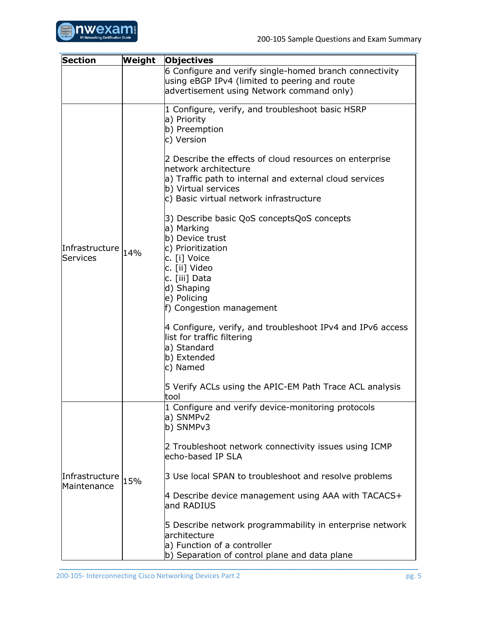

| <b>Section</b>                    | Weight | <b>Objectives</b>                                                                                                                                                                                                                                                                                                                                                                                                                                                                                                                                                                                                                                                                                                                      |  |  |
|-----------------------------------|--------|----------------------------------------------------------------------------------------------------------------------------------------------------------------------------------------------------------------------------------------------------------------------------------------------------------------------------------------------------------------------------------------------------------------------------------------------------------------------------------------------------------------------------------------------------------------------------------------------------------------------------------------------------------------------------------------------------------------------------------------|--|--|
|                                   |        | 6 Configure and verify single-homed branch connectivity<br>using eBGP IPv4 (limited to peering and route<br>advertisement using Network command only)                                                                                                                                                                                                                                                                                                                                                                                                                                                                                                                                                                                  |  |  |
| Infrastructure 14%<br>Services    |        | 1 Configure, verify, and troubleshoot basic HSRP<br>a) Priority<br>b) Preemption<br>c) Version<br>2 Describe the effects of cloud resources on enterprise<br>network architecture<br>a) Traffic path to internal and external cloud services<br>b) Virtual services<br>c) Basic virtual network infrastructure<br>3) Describe basic QoS conceptsQoS concepts<br>a) Marking<br>b) Device trust<br>c) Prioritization<br>c. [i] Voice<br>c. [ii] Video<br>c. [iii] Data<br>d) Shaping<br>e) Policing<br>f) Congestion management<br>4 Configure, verify, and troubleshoot IPv4 and IPv6 access<br>list for traffic filtering<br>a) Standard<br>b) Extended<br>c) Named<br>5 Verify ACLs using the APIC-EM Path Trace ACL analysis<br>tool |  |  |
| Infrastructure 15%<br>Maintenance |        | 1 Configure and verify device-monitoring protocols<br>a) SNMPv2<br>b) SNMPv3<br>2 Troubleshoot network connectivity issues using ICMP<br>echo-based IP SLA<br>3 Use local SPAN to troubleshoot and resolve problems<br>4 Describe device management using AAA with TACACS+<br>and RADIUS<br>5 Describe network programmability in enterprise network<br>architecture<br>a) Function of a controller<br>b) Separation of control plane and data plane                                                                                                                                                                                                                                                                                   |  |  |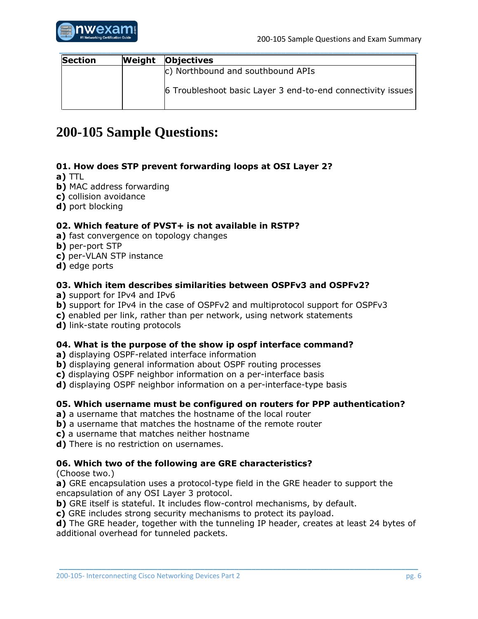

| <b>Section</b> | Weight | <b>Objectives</b>                                           |  |  |
|----------------|--------|-------------------------------------------------------------|--|--|
|                |        | c) Northbound and southbound APIs                           |  |  |
|                |        | 6 Troubleshoot basic Layer 3 end-to-end connectivity issues |  |  |

## <span id="page-6-0"></span>**200-105 Sample Questions:**

#### **01. How does STP prevent forwarding loops at OSI Layer 2?**

- **a)** TTL
- **b)** MAC address forwarding
- **c)** collision avoidance
- **d)** port blocking

#### **02. Which feature of PVST+ is not available in RSTP?**

- **a)** fast convergence on topology changes
- **b)** per-port STP
- **c)** per-VLAN STP instance
- **d)** edge ports

#### **03. Which item describes similarities between OSPFv3 and OSPFv2?**

- **a)** support for IPv4 and IPv6
- **b)** support for IPv4 in the case of OSPFv2 and multiprotocol support for OSPFv3
- **c)** enabled per link, rather than per network, using network statements

**d)** link-state routing protocols

#### **04. What is the purpose of the show ip ospf interface command?**

- **a)** displaying OSPF-related interface information
- **b**) displaying general information about OSPF routing processes
- **c)** displaying OSPF neighbor information on a per-interface basis
- **d)** displaying OSPF neighbor information on a per-interface-type basis

#### **05. Which username must be configured on routers for PPP authentication?**

- **a)** a username that matches the hostname of the local router
- **b**) a username that matches the hostname of the remote router
- **c)** a username that matches neither hostname
- **d)** There is no restriction on usernames.

#### **06. Which two of the following are GRE characteristics?**

(Choose two.)

**a)** GRE encapsulation uses a protocol-type field in the GRE header to support the encapsulation of any OSI Layer 3 protocol.

**b)** GRE itself is stateful. It includes flow-control mechanisms, by default.

**c)** GRE includes strong security mechanisms to protect its payload.

**d)** The GRE header, together with the tunneling IP header, creates at least 24 bytes of additional overhead for tunneled packets.